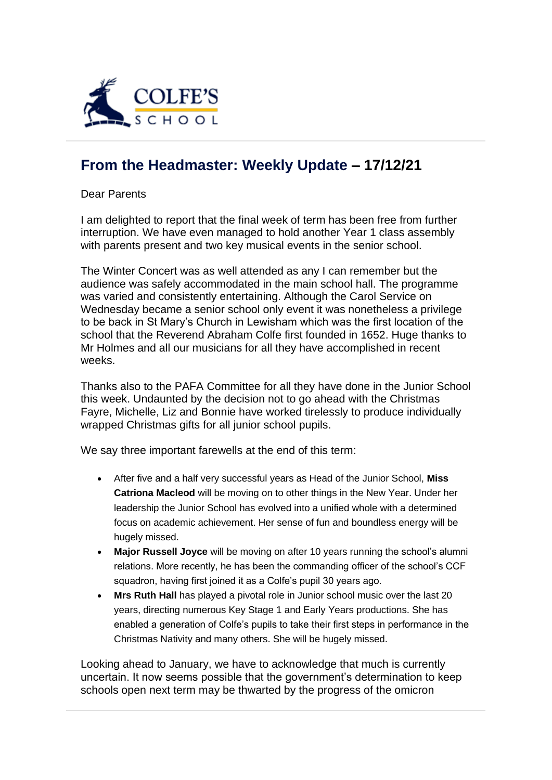

## **[From the Headmaster: Weekly Update](https://urlsand.esvalabs.com/?u=https%3A%2F%2Fschoolpostcdn.blob.core.windows.net%2Fpublic%2F~%2Femail-test-message.html&e=f4e25f66&h=847ca343&f=y&p=y) – 17/12/21**

Dear Parents

I am delighted to report that the final week of term has been free from further interruption. We have even managed to hold another Year 1 class assembly with parents present and two key musical events in the senior school.

The Winter Concert was as well attended as any I can remember but the audience was safely accommodated in the main school hall. The programme was varied and consistently entertaining. Although the Carol Service on Wednesday became a senior school only event it was nonetheless a privilege to be back in St Mary's Church in Lewisham which was the first location of the school that the Reverend Abraham Colfe first founded in 1652. Huge thanks to Mr Holmes and all our musicians for all they have accomplished in recent weeks.

Thanks also to the PAFA Committee for all they have done in the Junior School this week. Undaunted by the decision not to go ahead with the Christmas Fayre, Michelle, Liz and Bonnie have worked tirelessly to produce individually wrapped Christmas gifts for all junior school pupils.

We say three important farewells at the end of this term:

- After five and a half very successful years as Head of the Junior School, **Miss Catriona Macleod** will be moving on to other things in the New Year. Under her leadership the Junior School has evolved into a unified whole with a determined focus on academic achievement. Her sense of fun and boundless energy will be hugely missed.
- **Major Russell Joyce** will be moving on after 10 years running the school's alumni relations. More recently, he has been the commanding officer of the school's CCF squadron, having first joined it as a Colfe's pupil 30 years ago.
- **Mrs Ruth Hall** has played a pivotal role in Junior school music over the last 20 years, directing numerous Key Stage 1 and Early Years productions. She has enabled a generation of Colfe's pupils to take their first steps in performance in the Christmas Nativity and many others. She will be hugely missed.

Looking ahead to January, we have to acknowledge that much is currently uncertain. It now seems possible that the government's determination to keep schools open next term may be thwarted by the progress of the omicron